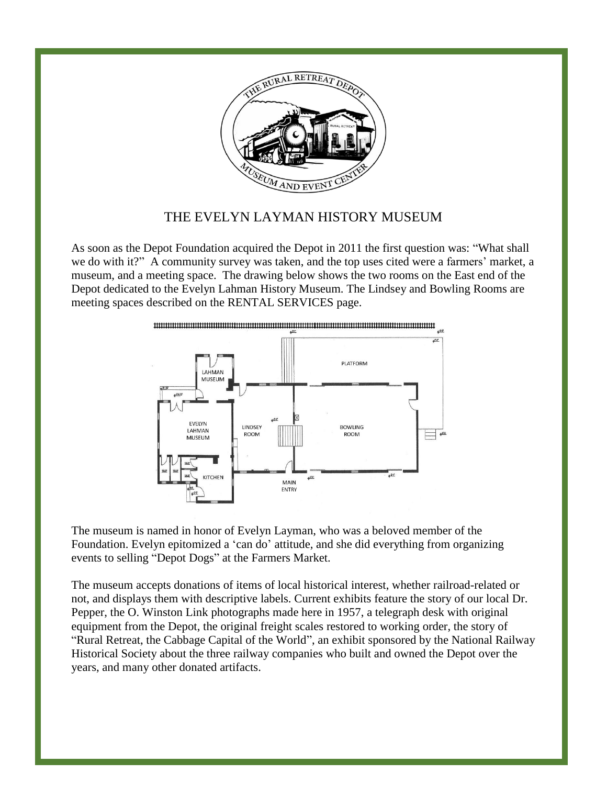

## THE EVELYN LAYMAN HISTORY MUSEUM

As soon as the Depot Foundation acquired the Depot in 2011 the first question was: "What shall we do with it?" A community survey was taken, and the top uses cited were a farmers' market, a museum, and a meeting space. The drawing below shows the two rooms on the East end of the Depot dedicated to the Evelyn Lahman History Museum. The Lindsey and Bowling Rooms are meeting spaces described on the RENTAL SERVICES page.



The museum is named in honor of Evelyn Layman, who was a beloved member of the Foundation. Evelyn epitomized a 'can do' attitude, and she did everything from organizing events to selling "Depot Dogs" at the Farmers Market.

The museum accepts donations of items of local historical interest, whether railroad-related or not, and displays them with descriptive labels. Current exhibits feature the story of our local Dr. Pepper, the O. Winston Link photographs made here in 1957, a telegraph desk with original equipment from the Depot, the original freight scales restored to working order, the story of "Rural Retreat, the Cabbage Capital of the World", an exhibit sponsored by the National Railway Historical Society about the three railway companies who built and owned the Depot over the years, and many other donated artifacts.